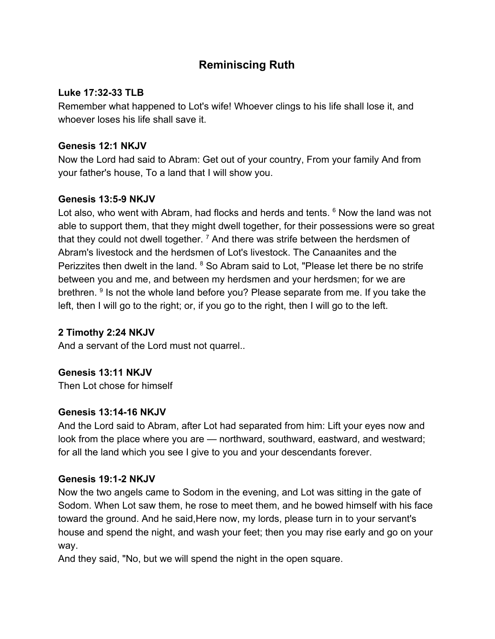# **Reminiscing Ruth**

## **Luke 17:32-33 TLB**

Remember what happened to Lot's wife! Whoever clings to his life shall lose it, and whoever loses his life shall save it.

# **Genesis 12:1 NKJV**

Now the Lord had said to Abram: Get out of your country, From your family And from your father's house, To a land that I will show you.

# **Genesis 13:5-9 NKJV**

Lot also, who went with Abram, had flocks and herds and tents. <sup>6</sup> Now the land was not able to support them, that they might dwell together, for their possessions were so great that they could not dwell together.  $^7$  And there was strife between the herdsmen of Abram's livestock and the herdsmen of Lot's livestock. The Canaanites and the Perizzites then dwelt in the land. <sup>8</sup> So Abram said to Lot, "Please let there be no strife between you and me, and between my herdsmen and your herdsmen; for we are brethren. <sup>9</sup> Is not the whole land before you? Please separate from me. If you take the left, then I will go to the right; or, if you go to the right, then I will go to the left.

# **2 Timothy 2:24 NKJV**

And a servant of the Lord must not quarrel..

# **Genesis 13:11 NKJV**

Then Lot chose for himself

# **Genesis 13:14-16 NKJV**

And the Lord said to Abram, after Lot had separated from him: Lift your eyes now and look from the place where you are — northward, southward, eastward, and westward; for all the land which you see I give to you and your descendants forever.

# **Genesis 19:1-2 NKJV**

Now the two angels came to Sodom in the evening, and Lot was sitting in the gate of Sodom. When Lot saw them, he rose to meet them, and he bowed himself with his face toward the ground. And he said,Here now, my lords, please turn in to your servant's house and spend the night, and wash your feet; then you may rise early and go on your way.

And they said, "No, but we will spend the night in the open square.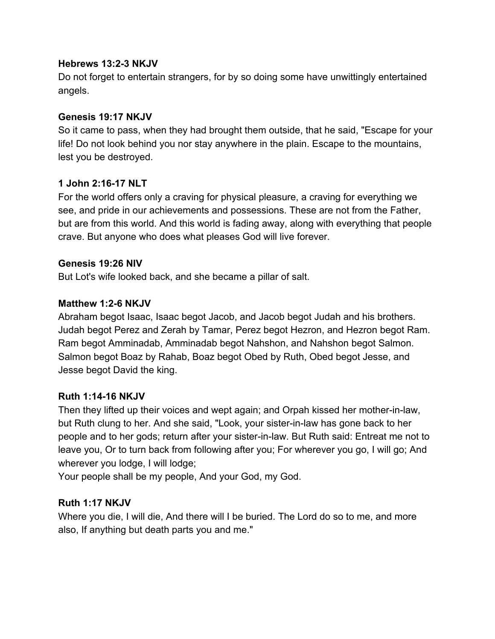### **Hebrews 13:2-3 NKJV**

Do not forget to entertain strangers, for by so doing some have unwittingly entertained angels.

## **Genesis 19:17 NKJV**

So it came to pass, when they had brought them outside, that he said, "Escape for your life! Do not look behind you nor stay anywhere in the plain. Escape to the mountains, lest you be destroyed.

# **1 John 2:16-17 NLT**

For the world offers only a craving for physical pleasure, a craving for everything we see, and pride in our achievements and possessions. These are not from the Father, but are from this world. And this world is fading away, along with everything that people crave. But anyone who does what pleases God will live forever.

### **Genesis 19:26 NIV**

But Lot's wife looked back, and she became a pillar of salt.

### **Matthew 1:2-6 NKJV**

Abraham begot Isaac, Isaac begot Jacob, and Jacob begot Judah and his brothers. Judah begot Perez and Zerah by Tamar, Perez begot Hezron, and Hezron begot Ram. Ram begot Amminadab, Amminadab begot Nahshon, and Nahshon begot Salmon. Salmon begot Boaz by Rahab, Boaz begot Obed by Ruth, Obed begot Jesse, and Jesse begot David the king.

#### **Ruth 1:14-16 NKJV**

Then they lifted up their voices and wept again; and Orpah kissed her mother-in-law, but Ruth clung to her. And she said, "Look, your sister-in-law has gone back to her people and to her gods; return after your sister-in-law. But Ruth said: Entreat me not to leave you, Or to turn back from following after you; For wherever you go, I will go; And wherever you lodge, I will lodge;

Your people shall be my people, And your God, my God.

#### **Ruth 1:17 NKJV**

Where you die, I will die, And there will I be buried. The Lord do so to me, and more also, If anything but death parts you and me."